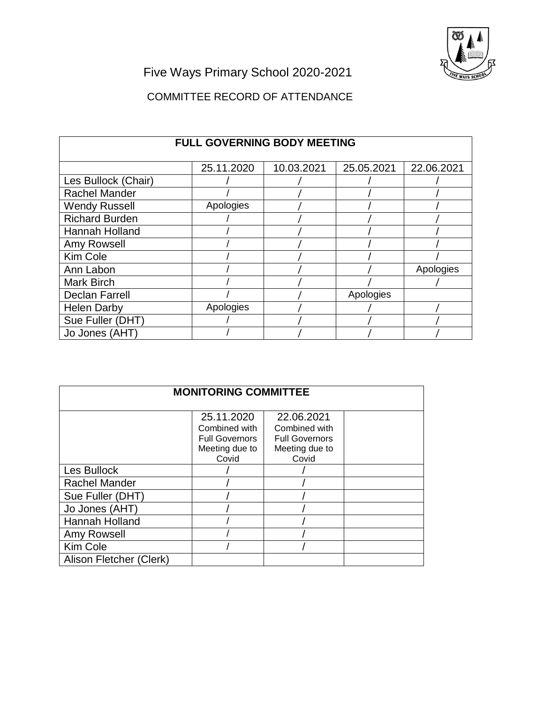

Five Ways Primary School 2020-2021

## COMMITTEE RECORD OF ATTENDANCE

| <b>FULL GOVERNING BODY MEETING</b> |            |            |            |            |
|------------------------------------|------------|------------|------------|------------|
|                                    | 25.11.2020 | 10.03.2021 | 25.05.2021 | 22.06.2021 |
| Les Bullock (Chair)                |            |            |            |            |
| <b>Rachel Mander</b>               |            |            |            |            |
| <b>Wendy Russell</b>               | Apologies  |            |            |            |
| <b>Richard Burden</b>              |            |            |            |            |
| Hannah Holland                     |            |            |            |            |
| Amy Rowsell                        |            |            |            |            |
| Kim Cole                           |            |            |            |            |
| Ann Labon                          |            |            |            | Apologies  |
| <b>Mark Birch</b>                  |            |            |            |            |
| <b>Declan Farrell</b>              |            |            | Apologies  |            |
| <b>Helen Darby</b>                 | Apologies  |            |            |            |
| Sue Fuller (DHT)                   |            |            |            |            |
| Jo Jones (AHT)                     |            |            |            |            |

| <b>MONITORING COMMITTEE</b> |                                                                                 |                                                                                 |  |  |
|-----------------------------|---------------------------------------------------------------------------------|---------------------------------------------------------------------------------|--|--|
|                             | 25.11.2020<br>Combined with<br><b>Full Governors</b><br>Meeting due to<br>Covid | 22.06.2021<br>Combined with<br><b>Full Governors</b><br>Meeting due to<br>Covid |  |  |
| Les Bullock                 |                                                                                 |                                                                                 |  |  |
| <b>Rachel Mander</b>        |                                                                                 |                                                                                 |  |  |
| Sue Fuller (DHT)            |                                                                                 |                                                                                 |  |  |
| Jo Jones (AHT)              |                                                                                 |                                                                                 |  |  |
| Hannah Holland              |                                                                                 |                                                                                 |  |  |
| Amy Rowsell                 |                                                                                 |                                                                                 |  |  |
| Kim Cole                    |                                                                                 |                                                                                 |  |  |
| Alison Fletcher (Clerk)     |                                                                                 |                                                                                 |  |  |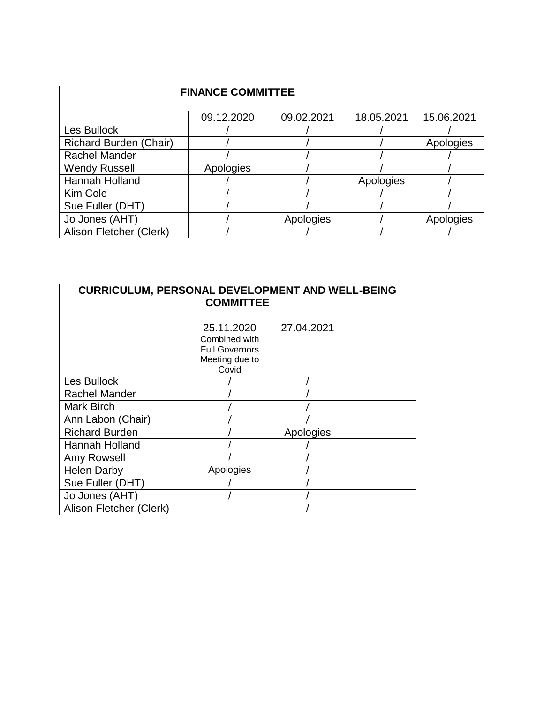| <b>FINANCE COMMITTEE</b>      |            |            |            |            |
|-------------------------------|------------|------------|------------|------------|
|                               | 09.12.2020 | 09.02.2021 | 18.05.2021 | 15.06.2021 |
| Les Bullock                   |            |            |            |            |
| <b>Richard Burden (Chair)</b> |            |            |            | Apologies  |
| <b>Rachel Mander</b>          |            |            |            |            |
| <b>Wendy Russell</b>          | Apologies  |            |            |            |
| Hannah Holland                |            |            | Apologies  |            |
| Kim Cole                      |            |            |            |            |
| Sue Fuller (DHT)              |            |            |            |            |
| Jo Jones (AHT)                |            | Apologies  |            | Apologies  |
| Alison Fletcher (Clerk)       |            |            |            |            |

| <b>CURRICULUM, PERSONAL DEVELOPMENT AND WELL-BEING</b><br><b>COMMITTEE</b> |                                                                                 |            |  |  |
|----------------------------------------------------------------------------|---------------------------------------------------------------------------------|------------|--|--|
|                                                                            | 25.11.2020<br>Combined with<br><b>Full Governors</b><br>Meeting due to<br>Covid | 27.04.2021 |  |  |
| Les Bullock                                                                |                                                                                 |            |  |  |
| Rachel Mander                                                              |                                                                                 |            |  |  |
| Mark Birch                                                                 |                                                                                 |            |  |  |
| Ann Labon (Chair)                                                          |                                                                                 |            |  |  |
| <b>Richard Burden</b>                                                      |                                                                                 | Apologies  |  |  |
| Hannah Holland                                                             |                                                                                 |            |  |  |
| Amy Rowsell                                                                |                                                                                 |            |  |  |
| <b>Helen Darby</b>                                                         | Apologies                                                                       |            |  |  |
| Sue Fuller (DHT)                                                           |                                                                                 |            |  |  |
| Jo Jones (AHT)                                                             |                                                                                 |            |  |  |
| Alison Fletcher (Clerk)                                                    |                                                                                 |            |  |  |